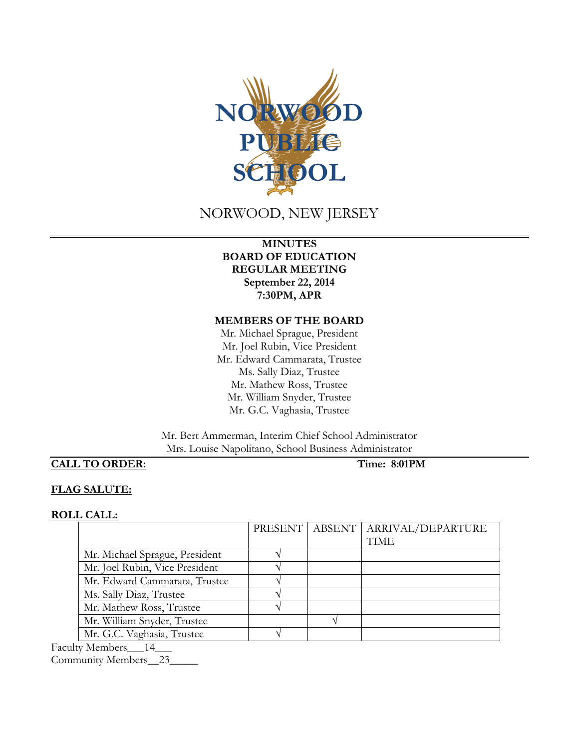

## NORWOOD, NEW JERSEY

### **MINUTES BOARD OF EDUCATION REGULAR MEETING September 22, 2014 7:30PM, APR**

#### **MEMBERS OF THE BOARD**

Mr. Michael Sprague, President Mr. Joel Rubin, Vice President Mr. Edward Cammarata, Trustee Ms. Sally Diaz, Trustee Mr. Mathew Ross, Trustee Mr. William Snyder, Trustee Mr. G.C. Vaghasia, Trustee

Mr. Bert Ammerman, Interim Chief School Administrator Mrs. Louise Napolitano, School Business Administrator

## **CALL TO ORDER: Time: 8:01PM**

#### **FLAG SALUTE:**

#### **ROLL CALL:**

|                                |  | PRESENT ABSENT   ARRIVAL/DEPARTURE |
|--------------------------------|--|------------------------------------|
|                                |  | <b>TIME</b>                        |
| Mr. Michael Sprague, President |  |                                    |
| Mr. Joel Rubin, Vice President |  |                                    |
| Mr. Edward Cammarata, Trustee  |  |                                    |
| Ms. Sally Diaz, Trustee        |  |                                    |
| Mr. Mathew Ross, Trustee       |  |                                    |
| Mr. William Snyder, Trustee    |  |                                    |
| Mr. G.C. Vaghasia, Trustee     |  |                                    |

Faculty Members\_\_\_14\_\_\_

Community Members\_\_23\_\_\_\_\_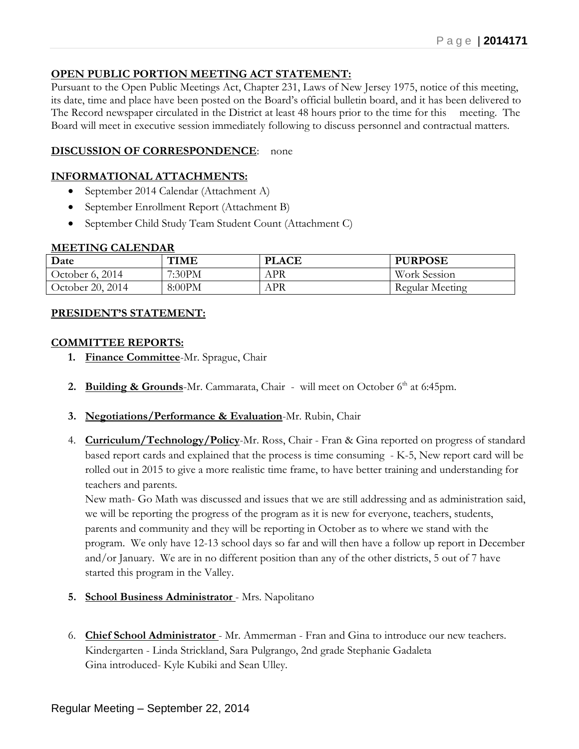## **OPEN PUBLIC PORTION MEETING ACT STATEMENT:**

Pursuant to the Open Public Meetings Act, Chapter 231, Laws of New Jersey 1975, notice of this meeting, its date, time and place have been posted on the Board's official bulletin board, and it has been delivered to The Record newspaper circulated in the District at least 48 hours prior to the time for this meeting. The Board will meet in executive session immediately following to discuss personnel and contractual matters.

## **DISCUSSION OF CORRESPONDENCE:** none

#### **INFORMATIONAL ATTACHMENTS:**

- September 2014 Calendar (Attachment A)
- September Enrollment Report (Attachment B)
- September Child Study Team Student Count (Attachment C)

#### **MEETING CALENDAR**

| Date             | <b>TIME</b> | <b>PLACE</b> | <b>PURPOSE</b>      |
|------------------|-------------|--------------|---------------------|
| October 6, 2014  | 7:30PM      | <b>APR</b>   | <b>Work Session</b> |
| October 20, 2014 | 8:00PM      | <b>APR</b>   | Regular Meeting     |

#### **PRESIDENT'S STATEMENT:**

#### **COMMITTEE REPORTS:**

- **1. Finance Committee**-Mr. Sprague, Chair
- **2. Building & Grounds**-Mr. Cammarata, Chair will meet on October  $6<sup>th</sup>$  at 6:45pm.
- **3. Negotiations/Performance & Evaluation**-Mr. Rubin, Chair
- 4. **Curriculum/Technology/Policy**-Mr. Ross, Chair Fran & Gina reported on progress of standard based report cards and explained that the process is time consuming - K-5, New report card will be rolled out in 2015 to give a more realistic time frame, to have better training and understanding for teachers and parents.

New math- Go Math was discussed and issues that we are still addressing and as administration said, we will be reporting the progress of the program as it is new for everyone, teachers, students, parents and community and they will be reporting in October as to where we stand with the program. We only have 12-13 school days so far and will then have a follow up report in December and/or January. We are in no different position than any of the other districts, 5 out of 7 have started this program in the Valley.

- **5. School Business Administrator** Mrs. Napolitano
- 6. **Chief School Administrator** Mr. Ammerman Fran and Gina to introduce our new teachers. Kindergarten - Linda Strickland, Sara Pulgrango, 2nd grade Stephanie Gadaleta Gina introduced- Kyle Kubiki and Sean Ulley.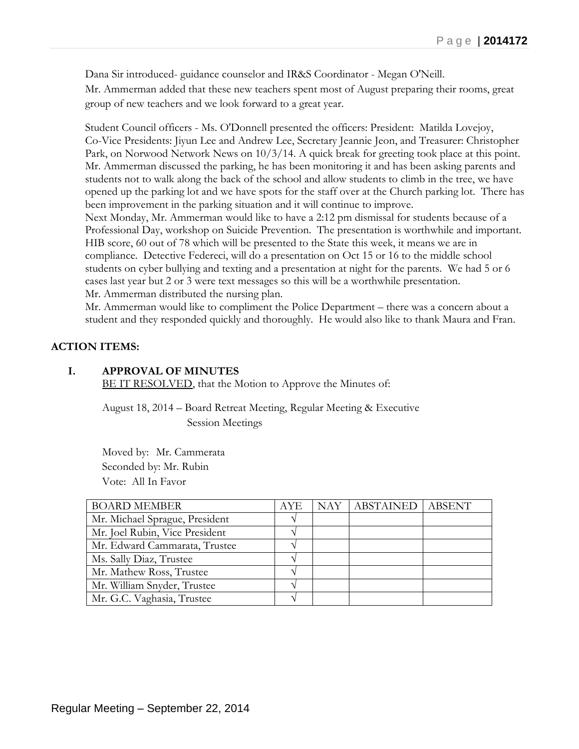Dana Sir introduced- guidance counselor and IR&S Coordinator - Megan O'Neill. Mr. Ammerman added that these new teachers spent most of August preparing their rooms, great group of new teachers and we look forward to a great year.

Student Council officers - Ms. O'Donnell presented the officers: President: Matilda Lovejoy, Co-Vice Presidents: Jiyun Lee and Andrew Lee, Secretary Jeannie Jeon, and Treasurer: Christopher Park, on Norwood Network News on 10/3/14. A quick break for greeting took place at this point. Mr. Ammerman discussed the parking, he has been monitoring it and has been asking parents and students not to walk along the back of the school and allow students to climb in the tree, we have opened up the parking lot and we have spots for the staff over at the Church parking lot. There has been improvement in the parking situation and it will continue to improve.

Next Monday, Mr. Ammerman would like to have a 2:12 pm dismissal for students because of a Professional Day, workshop on Suicide Prevention. The presentation is worthwhile and important. HIB score, 60 out of 78 which will be presented to the State this week, it means we are in compliance. Detective Federeci, will do a presentation on Oct 15 or 16 to the middle school students on cyber bullying and texting and a presentation at night for the parents. We had 5 or 6 cases last year but 2 or 3 were text messages so this will be a worthwhile presentation. Mr. Ammerman distributed the nursing plan.

Mr. Ammerman would like to compliment the Police Department – there was a concern about a student and they responded quickly and thoroughly. He would also like to thank Maura and Fran.

## **ACTION ITEMS:**

## **I. APPROVAL OF MINUTES**

BE IT RESOLVED, that the Motion to Approve the Minutes of:

August 18, 2014 – Board Retreat Meeting, Regular Meeting & Executive Session Meetings

Moved by: Mr. Cammerata Seconded by: Mr. Rubin Vote: All In Favor

| <b>BOARD MEMBER</b>            | AYE           | NAY   ABSTAINED   ABSENT |  |
|--------------------------------|---------------|--------------------------|--|
| Mr. Michael Sprague, President | $\mathcal{N}$ |                          |  |
| Mr. Joel Rubin, Vice President |               |                          |  |
| Mr. Edward Cammarata, Trustee  |               |                          |  |
| Ms. Sally Diaz, Trustee        |               |                          |  |
| Mr. Mathew Ross, Trustee       | ٦١            |                          |  |
| Mr. William Snyder, Trustee    | ٦Ι            |                          |  |
| Mr. G.C. Vaghasia, Trustee     |               |                          |  |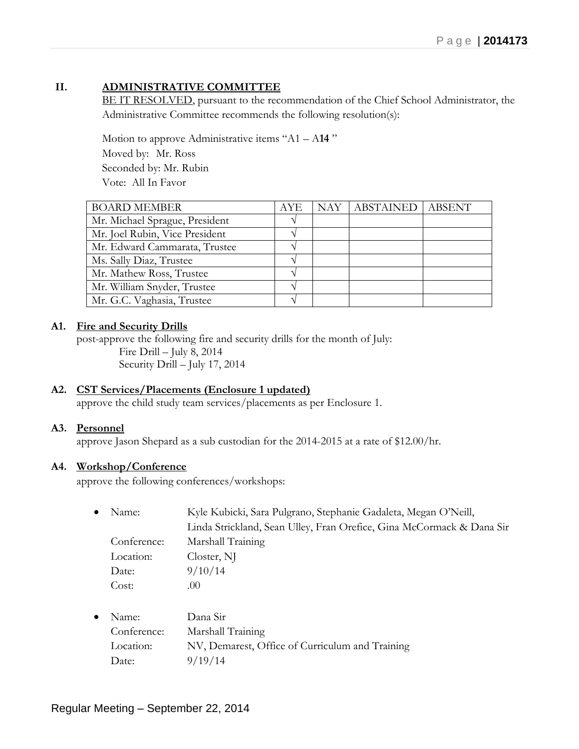## **II. ADMINISTRATIVE COMMITTEE**

BE IT RESOLVED, pursuant to the recommendation of the Chief School Administrator, the Administrative Committee recommends the following resolution(s):

Motion to approve Administrative items "A1 – A**14** " Moved by: Mr. Ross Seconded by: Mr. Rubin Vote: All In Favor

| <b>BOARD MEMBER</b>            | <b>AYE</b> | NAY   ABSTAINED   ABSENT |  |
|--------------------------------|------------|--------------------------|--|
| Mr. Michael Sprague, President |            |                          |  |
| Mr. Joel Rubin, Vice President |            |                          |  |
| Mr. Edward Cammarata, Trustee  |            |                          |  |
| Ms. Sally Diaz, Trustee        |            |                          |  |
| Mr. Mathew Ross, Trustee       |            |                          |  |
| Mr. William Snyder, Trustee    |            |                          |  |
| Mr. G.C. Vaghasia, Trustee     |            |                          |  |

#### **A1. Fire and Security Drills**

post-approve the following fire and security drills for the month of July: Fire Drill – July 8, 2014 Security Drill – July 17, 2014

#### **A2. CST Services/Placements (Enclosure 1 updated)**

approve the child study team services/placements as per Enclosure 1.

#### **A3. Personnel**

approve Jason Shepard as a sub custodian for the 2014-2015 at a rate of \$12.00/hr.

#### **A4. Workshop/Conference**

approve the following conferences/workshops:

| $\bullet$ | Name:       | Kyle Kubicki, Sara Pulgrano, Stephanie Gadaleta, Megan O'Neill,       |
|-----------|-------------|-----------------------------------------------------------------------|
|           |             | Linda Strickland, Sean Ulley, Fran Orefice, Gina McCormack & Dana Sir |
|           | Conference: | Marshall Training                                                     |
|           | Location:   | Closter, NJ                                                           |
|           | Date:       | 9/10/14                                                               |
|           | Cost:       | (0()                                                                  |
|           |             |                                                                       |

| $\bullet$ Name: | Dana Sir                                        |
|-----------------|-------------------------------------------------|
| Conference:     | Marshall Training                               |
| Location:       | NV, Demarest, Office of Curriculum and Training |
| Date:           | 9/19/14                                         |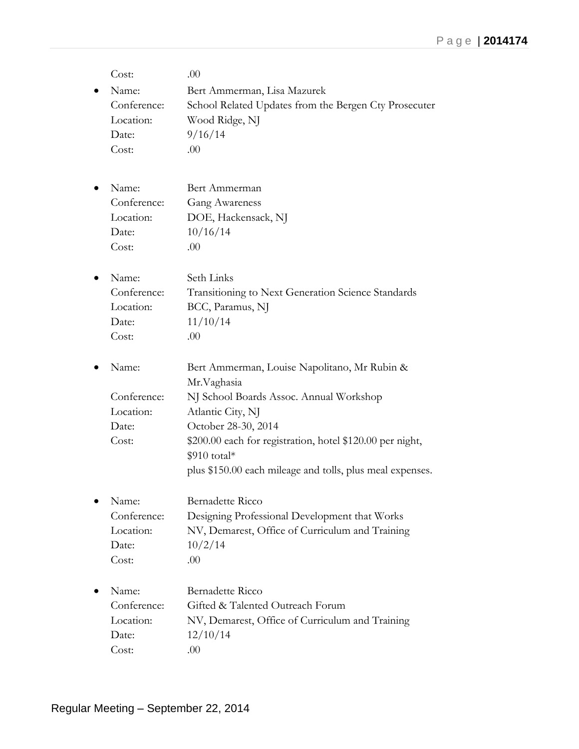| Cost:       | .00                                                         |
|-------------|-------------------------------------------------------------|
| Name:       | Bert Ammerman, Lisa Mazurek                                 |
| Conference: | School Related Updates from the Bergen Cty Prosecuter       |
| Location:   | Wood Ridge, NJ                                              |
| Date:       | 9/16/14                                                     |
| Cost:       | .00                                                         |
| Name:       | Bert Ammerman                                               |
| Conference: | Gang Awareness                                              |
| Location:   | DOE, Hackensack, NJ                                         |
| Date:       | 10/16/14                                                    |
| Cost:       | .00                                                         |
|             |                                                             |
| Name:       | Seth Links                                                  |
| Conference: | Transitioning to Next Generation Science Standards          |
| Location:   | BCC, Paramus, NJ                                            |
| Date:       | 11/10/14                                                    |
| Cost:       | .00                                                         |
|             |                                                             |
| Name:       | Bert Ammerman, Louise Napolitano, Mr Rubin &                |
|             | Mr.Vaghasia                                                 |
| Conference: | NJ School Boards Assoc. Annual Workshop                     |
| Location:   | Atlantic City, NJ                                           |
| Date:       | October 28-30, 2014                                         |
| Cost:       | \$200.00 each for registration, hotel \$120.00 per night,   |
|             | $$910$ total*                                               |
|             | plus \$150.00 each mileage and tolls, plus meal expenses.   |
| Name:       | Bernadette Ricco                                            |
| Conference: | Designing Professional Development that Works               |
| Location:   | NV, Demarest, Office of Curriculum and Training             |
| Date:       | 10/2/14                                                     |
| Cost:       | .00                                                         |
| Name:       | Bernadette Ricco                                            |
| Conference: | Gifted & Talented Outreach Forum                            |
| Location:   |                                                             |
| Date:       | NV, Demarest, Office of Curriculum and Training<br>12/10/14 |
| Cost:       | .00                                                         |
|             |                                                             |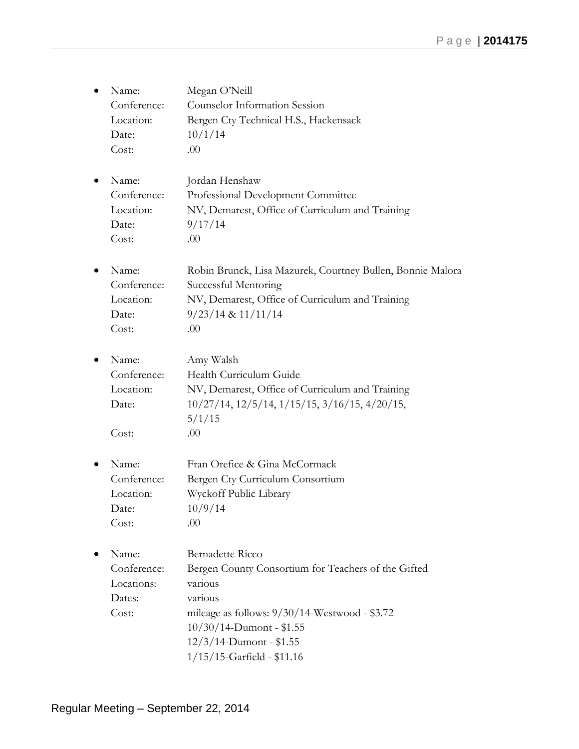- Name: Megan O'Neill Conference: Counselor Information Session Location: Bergen Cty Technical H.S., Hackensack Date:  $10/1/14$ Cost: .00
- Name: Jordan Henshaw Conference: Professional Development Committee Location: NV, Demarest, Office of Curriculum and Training Date: 9/17/14 Cost: .00
- Name: Robin Brunck, Lisa Mazurek, Courtney Bullen, Bonnie Malora Conference: Successful Mentoring Location: NV, Demarest, Office of Curriculum and Training Date: 9/23/14 & 11/11/14 Cost: .00
- Name: Amy Walsh Conference: Health Curriculum Guide Location: NV, Demarest, Office of Curriculum and Training Date: 10/27/14, 12/5/14, 1/15/15, 3/16/15, 4/20/15, 5/1/15  $Cost:$  .00
- Name: Fran Orefice & Gina McCormack Conference: Bergen Cty Curriculum Consortium Location: Wyckoff Public Library Date:  $10/9/14$  $Cost: 00$
- Name: Bernadette Ricco Conference: Bergen County Consortium for Teachers of the Gifted Locations: various Dates: various Cost: mileage as follows: 9/30/14-Westwood - \$3.72 10/30/14-Dumont - \$1.55 12/3/14-Dumont - \$1.55 1/15/15-Garfield - \$11.16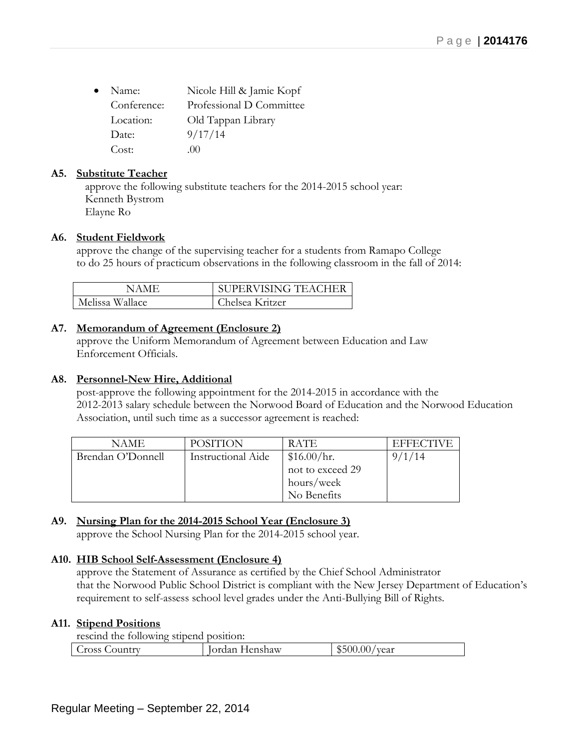| $\bullet$ | Name:       | Nicole Hill & Jamie Kopf |
|-----------|-------------|--------------------------|
|           | Conference: | Professional D Committee |
|           | Location:   | Old Tappan Library       |
|           | Date:       | 9/17/14                  |
|           | Cost:       | (1)                      |

## **A5. Substitute Teacher**

approve the following substitute teachers for the 2014-2015 school year: Kenneth Bystrom Elayne Ro

#### **A6. Student Fieldwork**

approve the change of the supervising teacher for a students from Ramapo College to do 25 hours of practicum observations in the following classroom in the fall of 2014:

| NAME            | SUPERVISING TEACHER |
|-----------------|---------------------|
| Melissa Wallace | Chelsea Kritzer     |

## **A7. Memorandum of Agreement (Enclosure 2)**

approve the Uniform Memorandum of Agreement between Education and Law Enforcement Officials.

### **A8. Personnel-New Hire, Additional**

post-approve the following appointment for the 2014-2015 in accordance with the 2012-2013 salary schedule between the Norwood Board of Education and the Norwood Education Association, until such time as a successor agreement is reached:

| NAME              | <b>POSITION</b>           | RATE.            | <b>EFFECTIVE</b> |
|-------------------|---------------------------|------------------|------------------|
| Brendan O'Donnell | <b>Instructional Aide</b> | \$16.00/hr.      | 9/1/14           |
|                   |                           | not to exceed 29 |                  |
|                   |                           | hours/week       |                  |
|                   |                           | No Benefits      |                  |

## **A9. Nursing Plan for the 2014-2015 School Year (Enclosure 3)**

approve the School Nursing Plan for the 2014-2015 school year.

#### **A10. HIB School Self-Assessment (Enclosure 4)**

approve the Statement of Assurance as certified by the Chief School Administrator that the Norwood Public School District is compliant with the New Jersey Department of Education's requirement to self-assess school level grades under the Anti-Bullying Bill of Rights.

#### **A11. Stipend Positions**

rescind the following stipend position:

| $0.00/\tau$<br>500<br>Cross Country<br>. Henshaw<br>vear<br>ordan |  |  |
|-------------------------------------------------------------------|--|--|
|                                                                   |  |  |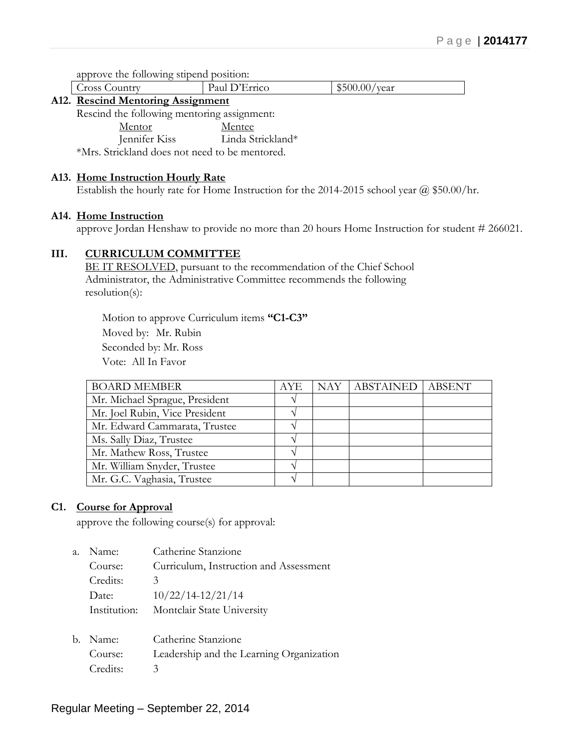approve the following stipend position:

Cross Country Paul D'Errico \\$500.00/year

#### **A12. Rescind Mentoring Assignment**

Rescind the following mentoring assignment:

Mentor Mentee

Jennifer Kiss Linda Strickland\*

\*Mrs. Strickland does not need to be mentored.

#### **A13. Home Instruction Hourly Rate**

Establish the hourly rate for Home Instruction for the 2014-2015 school year @ \$50.00/hr.

#### **A14. Home Instruction**

approve Jordan Henshaw to provide no more than 20 hours Home Instruction for student # 266021.

#### **III. CURRICULUM COMMITTEE**

BE IT RESOLVED, pursuant to the recommendation of the Chief School Administrator, the Administrative Committee recommends the following resolution(s):

Motion to approve Curriculum items **"C1-C3"** Moved by: Mr. Rubin Seconded by: Mr. Ross Vote: All In Favor

| <b>BOARD MEMBER</b>            | AYE           | NAY   ABSTAINED   ABSENT |  |
|--------------------------------|---------------|--------------------------|--|
| Mr. Michael Sprague, President |               |                          |  |
| Mr. Joel Rubin, Vice President |               |                          |  |
| Mr. Edward Cammarata, Trustee  |               |                          |  |
| Ms. Sally Diaz, Trustee        |               |                          |  |
| Mr. Mathew Ross, Trustee       | $\mathcal{N}$ |                          |  |
| Mr. William Snyder, Trustee    |               |                          |  |
| Mr. G.C. Vaghasia, Trustee     |               |                          |  |

#### **C1. Course for Approval**

approve the following course(s) for approval:

| a. | Name:        | Catherine Stanzione                    |
|----|--------------|----------------------------------------|
|    | Course:      | Curriculum, Instruction and Assessment |
|    | Credits:     | 3                                      |
|    | Date:        | $10/22/14-12/21/14$                    |
|    | Institution: | Montclair State University             |
|    |              |                                        |

| b. Name: | Catherine Stanzione                      |
|----------|------------------------------------------|
| Course:  | Leadership and the Learning Organization |
| Credits: |                                          |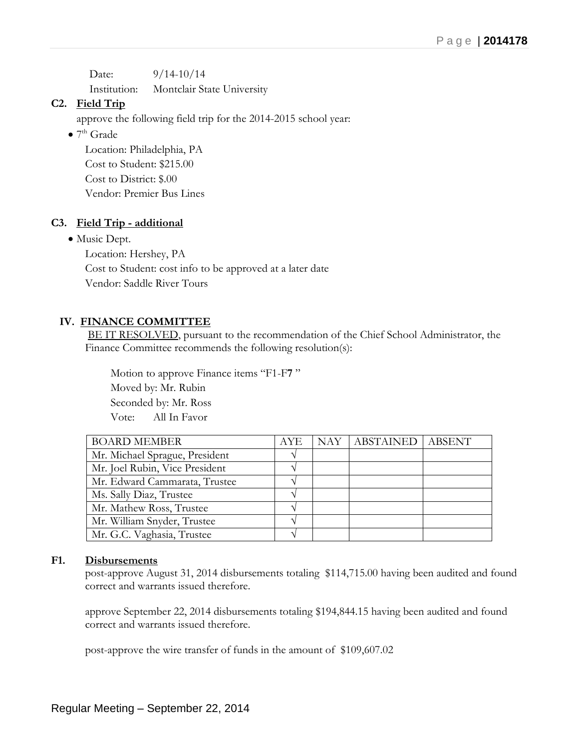Date:  $9/14-10/14$ Institution: Montclair State University

## **C2. Field Trip**

approve the following field trip for the 2014-2015 school year:

 $\bullet$  7<sup>th</sup> Grade

Location: Philadelphia, PA Cost to Student: \$215.00 Cost to District: \$.00 Vendor: Premier Bus Lines

## **C3. Field Trip - additional**

• Music Dept.

Location: Hershey, PA Cost to Student: cost info to be approved at a later date Vendor: Saddle River Tours

## **IV. FINANCE COMMITTEE**

BE IT RESOLVED, pursuant to the recommendation of the Chief School Administrator, the Finance Committee recommends the following resolution(s):

 Motion to approve Finance items "F1-F**7** " Moved by: Mr. Rubin Seconded by: Mr. Ross Vote: All In Favor

| <b>BOARD MEMBER</b>            | <b>AYE</b> | NAY   ABSTAINED   ABSENT |  |
|--------------------------------|------------|--------------------------|--|
| Mr. Michael Sprague, President |            |                          |  |
| Mr. Joel Rubin, Vice President |            |                          |  |
| Mr. Edward Cammarata, Trustee  |            |                          |  |
| Ms. Sally Diaz, Trustee        |            |                          |  |
| Mr. Mathew Ross, Trustee       |            |                          |  |
| Mr. William Snyder, Trustee    |            |                          |  |
| Mr. G.C. Vaghasia, Trustee     |            |                          |  |

#### **F1. Disbursements**

post-approve August 31, 2014 disbursements totaling \$114,715.00 having been audited and found correct and warrants issued therefore.

approve September 22, 2014 disbursements totaling \$194,844.15 having been audited and found correct and warrants issued therefore.

post-approve the wire transfer of funds in the amount of \$109,607.02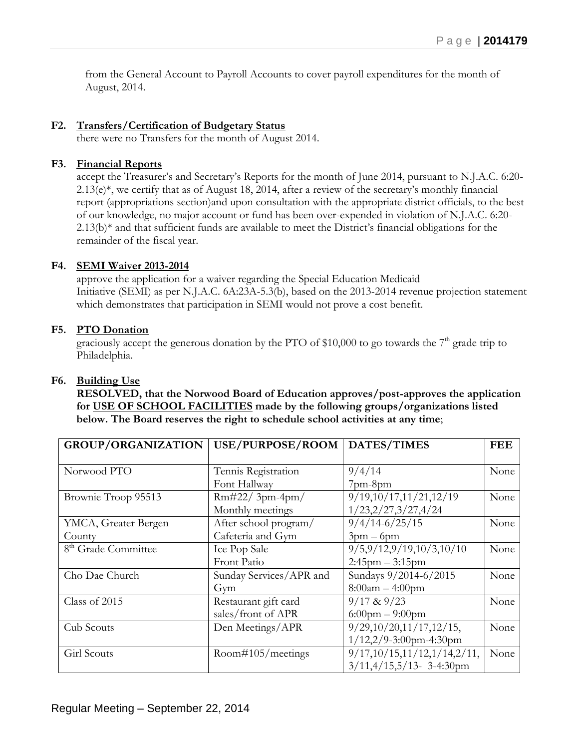from the General Account to Payroll Accounts to cover payroll expenditures for the month of August, 2014.

#### **F2. Transfers/Certification of Budgetary Status**

there were no Transfers for the month of August 2014.

#### **F3. Financial Reports**

accept the Treasurer's and Secretary's Reports for the month of June 2014, pursuant to N.J.A.C. 6:20-  $2.13(e)$ <sup>\*</sup>, we certify that as of August 18, 2014, after a review of the secretary's monthly financial report (appropriations section)and upon consultation with the appropriate district officials, to the best of our knowledge, no major account or fund has been over-expended in violation of N.J.A.C. 6:20-  $2.13(b)$ <sup>\*</sup> and that sufficient funds are available to meet the District's financial obligations for the remainder of the fiscal year.

#### **F4. SEMI Waiver 2013-2014**

approve the application for a waiver regarding the Special Education Medicaid Initiative (SEMI) as per N.J.A.C. 6A:23A-5.3(b), based on the 2013-2014 revenue projection statement which demonstrates that participation in SEMI would not prove a cost benefit.

#### **F5. PTO Donation**

graciously accept the generous donation by the PTO of \$10,000 to go towards the  $7<sup>th</sup>$  grade trip to Philadelphia.

#### **F6. Building Use**

**RESOLVED, that the Norwood Board of Education approves/post-approves the application for USE OF SCHOOL FACILITIES made by the following groups/organizations listed below. The Board reserves the right to schedule school activities at any time**;

| <b>GROUP/ORGANIZATION</b>       | USE/PURPOSE/ROOM        | DATES/TIMES                     | <b>FEE</b> |
|---------------------------------|-------------------------|---------------------------------|------------|
|                                 |                         |                                 |            |
| Norwood PTO                     | Tennis Registration     | 9/4/14                          | None       |
|                                 | Font Hallway            | $7$ pm- $8$ pm                  |            |
| Brownie Troop 95513             | $Rm#22/3pm-4pm/$        | 9/19,10/17,11/21,12/19          | None       |
|                                 | Monthly meetings        | 1/23,2/27,3/27,4/24             |            |
| YMCA, Greater Bergen            | After school program/   | $9/4/14-6/25/15$                | None       |
| County                          | Cafeteria and Gym       | $3pm-6pm$                       |            |
| 8 <sup>th</sup> Grade Committee | Ice Pop Sale            | 9/5,9/12,9/19,10/3,10/10        | None       |
|                                 | Front Patio             | $2:45$ pm $-3:15$ pm            |            |
| Cho Dae Church                  | Sunday Services/APR and | Sundays 9/2014-6/2015           | None       |
|                                 | Gym                     | $8:00am - 4:00pm$               |            |
| Class of 2015                   | Restaurant gift card    | $9/17$ & $9/23$                 | None       |
|                                 | sales/front of APR      | $6:00$ pm $-9:00$ pm            |            |
| Cub Scouts                      | Den Meetings/APR        | 9/29, 10/20, 11/17, 12/15,      | None       |
|                                 |                         | $1/12,2/9-3:00$ pm-4:30pm       |            |
| Girl Scouts                     | Room#105/meetings       | 9/17, 10/15, 11/12, 1/14, 2/11, | None       |
|                                 |                         | $3/11,4/15,5/13$ - 3-4:30pm     |            |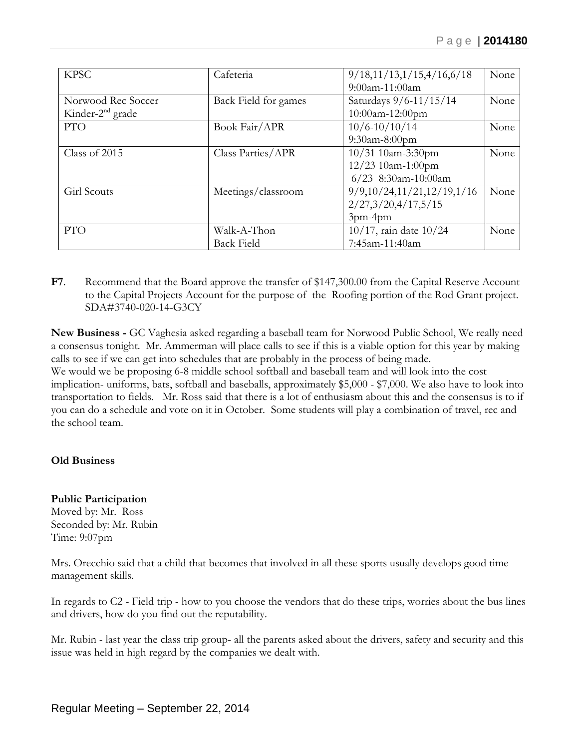| <b>KPSC</b>         | Cafeteria            | 9/18, 11/13, 1/15, 4/16, 6/18 | None |
|---------------------|----------------------|-------------------------------|------|
|                     |                      | 9:00am-11:00am                |      |
| Norwood Rec Soccer  | Back Field for games | Saturdays 9/6-11/15/14        | None |
| Kinder- $2nd$ grade |                      | 10:00am-12:00pm               |      |
| <b>PTO</b>          | Book Fair/APR        | $10/6 - 10/10/14$             | None |
|                     |                      | $9:30$ am-8:00pm              |      |
| Class of 2015       | Class Parties/APR    | 10/31 10am-3:30pm             | None |
|                     |                      | 12/23 10am-1:00pm             |      |
|                     |                      | $6/23$ 8:30am-10:00am         |      |
| Girl Scouts         | Meetings/classroom   | 9/9,10/24,11/21,12/19,1/16    | None |
|                     |                      | 2/27,3/20,4/17,5/15           |      |
|                     |                      | 3pm-4pm                       |      |
| <b>PTO</b>          | Walk-A-Thon          | $10/17$ , rain date $10/24$   | None |
|                     | <b>Back Field</b>    | 7:45am-11:40am                |      |

**F7**. Recommend that the Board approve the transfer of \$147,300.00 from the Capital Reserve Account to the Capital Projects Account for the purpose of the Roofing portion of the Rod Grant project. SDA#3740-020-14-G3CY

**New Business -** GC Vaghesia asked regarding a baseball team for Norwood Public School, We really need a consensus tonight. Mr. Ammerman will place calls to see if this is a viable option for this year by making calls to see if we can get into schedules that are probably in the process of being made. We would we be proposing 6-8 middle school softball and baseball team and will look into the cost implication- uniforms, bats, softball and baseballs, approximately \$5,000 - \$7,000. We also have to look into transportation to fields. Mr. Ross said that there is a lot of enthusiasm about this and the consensus is to if you can do a schedule and vote on it in October. Some students will play a combination of travel, rec and the school team.

## **Old Business**

**Public Participation** Moved by: Mr. Ross Seconded by: Mr. Rubin Time: 9:07pm

Mrs. Orecchio said that a child that becomes that involved in all these sports usually develops good time management skills.

In regards to C2 - Field trip - how to you choose the vendors that do these trips, worries about the bus lines and drivers, how do you find out the reputability.

Mr. Rubin - last year the class trip group- all the parents asked about the drivers, safety and security and this issue was held in high regard by the companies we dealt with.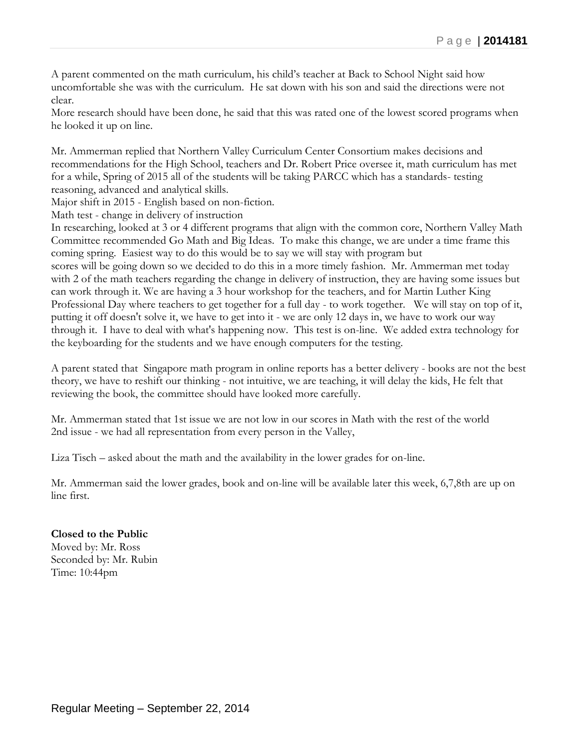A parent commented on the math curriculum, his child's teacher at Back to School Night said how uncomfortable she was with the curriculum. He sat down with his son and said the directions were not clear.

More research should have been done, he said that this was rated one of the lowest scored programs when he looked it up on line.

Mr. Ammerman replied that Northern Valley Curriculum Center Consortium makes decisions and recommendations for the High School, teachers and Dr. Robert Price oversee it, math curriculum has met for a while, Spring of 2015 all of the students will be taking PARCC which has a standards- testing reasoning, advanced and analytical skills.

Major shift in 2015 - English based on non-fiction.

Math test - change in delivery of instruction

In researching, looked at 3 or 4 different programs that align with the common core, Northern Valley Math Committee recommended Go Math and Big Ideas. To make this change, we are under a time frame this coming spring. Easiest way to do this would be to say we will stay with program but scores will be going down so we decided to do this in a more timely fashion. Mr. Ammerman met today with 2 of the math teachers regarding the change in delivery of instruction, they are having some issues but can work through it. We are having a 3 hour workshop for the teachers, and for Martin Luther King Professional Day where teachers to get together for a full day - to work together. We will stay on top of it, putting it off doesn't solve it, we have to get into it - we are only 12 days in, we have to work our way through it. I have to deal with what's happening now. This test is on-line. We added extra technology for the keyboarding for the students and we have enough computers for the testing.

A parent stated that Singapore math program in online reports has a better delivery - books are not the best theory, we have to reshift our thinking - not intuitive, we are teaching, it will delay the kids, He felt that reviewing the book, the committee should have looked more carefully.

Mr. Ammerman stated that 1st issue we are not low in our scores in Math with the rest of the world 2nd issue - we had all representation from every person in the Valley,

Liza Tisch – asked about the math and the availability in the lower grades for on-line.

Mr. Ammerman said the lower grades, book and on-line will be available later this week, 6,7,8th are up on line first.

# **Closed to the Public**

Moved by: Mr. Ross Seconded by: Mr. Rubin Time: 10:44pm